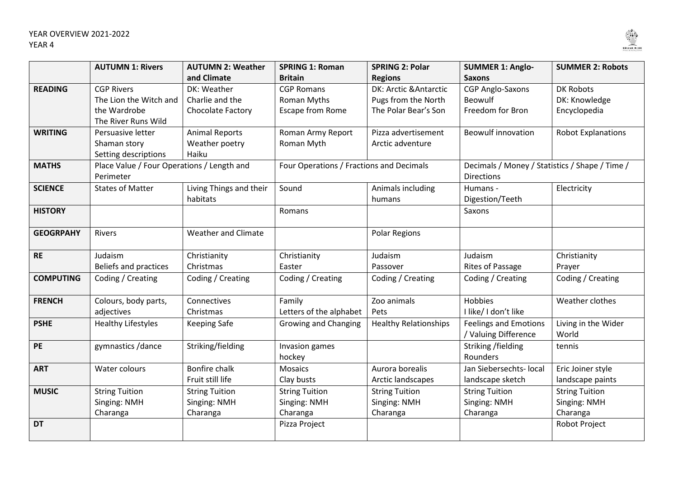

|                  | <b>AUTUMN 1: Rivers</b>                    | <b>AUTUMN 2: Weather</b>   | <b>SPRING 1: Roman</b>                   | <b>SPRING 2: Polar</b>       | <b>SUMMER 1: Anglo-</b>                        | <b>SUMMER 2: Robots</b>   |
|------------------|--------------------------------------------|----------------------------|------------------------------------------|------------------------------|------------------------------------------------|---------------------------|
|                  |                                            | and Climate                | <b>Britain</b>                           | <b>Regions</b>               | <b>Saxons</b>                                  |                           |
| <b>READING</b>   | <b>CGP Rivers</b>                          | DK: Weather                | <b>CGP Romans</b>                        | DK: Arctic & Antarctic       | <b>CGP Anglo-Saxons</b>                        | <b>DK Robots</b>          |
|                  | The Lion the Witch and                     | Charlie and the            | Roman Myths                              | Pugs from the North          | Beowulf                                        | DK: Knowledge             |
|                  | the Wardrobe                               | Chocolate Factory          | Escape from Rome                         | The Polar Bear's Son         | Freedom for Bron                               | Encyclopedia              |
|                  | The River Runs Wild                        |                            |                                          |                              |                                                |                           |
| <b>WRITING</b>   | Persuasive letter                          | <b>Animal Reports</b>      | Roman Army Report                        | Pizza advertisement          | <b>Beowulf innovation</b>                      | <b>Robot Explanations</b> |
|                  | Shaman story                               | Weather poetry             | Roman Myth                               | Arctic adventure             |                                                |                           |
|                  | Setting descriptions                       | Haiku                      |                                          |                              |                                                |                           |
| <b>MATHS</b>     | Place Value / Four Operations / Length and |                            | Four Operations / Fractions and Decimals |                              | Decimals / Money / Statistics / Shape / Time / |                           |
|                  | Perimeter                                  |                            |                                          |                              | <b>Directions</b>                              |                           |
| <b>SCIENCE</b>   | <b>States of Matter</b>                    | Living Things and their    | Sound                                    | Animals including            | Humans -                                       | Electricity               |
|                  |                                            | habitats                   |                                          | humans                       | Digestion/Teeth                                |                           |
| <b>HISTORY</b>   |                                            |                            | Romans                                   |                              | Saxons                                         |                           |
|                  |                                            |                            |                                          |                              |                                                |                           |
| <b>GEOGRPAHY</b> | Rivers                                     | <b>Weather and Climate</b> |                                          | <b>Polar Regions</b>         |                                                |                           |
|                  |                                            |                            |                                          |                              |                                                |                           |
| <b>RE</b>        | Judaism                                    | Christianity               | Christianity                             | Judaism                      | Judaism                                        | Christianity              |
|                  | Beliefs and practices                      | Christmas                  | Easter                                   | Passover                     | Rites of Passage                               | Prayer                    |
| <b>COMPUTING</b> | Coding / Creating                          | Coding / Creating          | Coding / Creating                        | Coding / Creating            | Coding / Creating                              | Coding / Creating         |
|                  |                                            |                            |                                          |                              |                                                |                           |
| <b>FRENCH</b>    | Colours, body parts,                       | Connectives                | Family                                   | Zoo animals                  | Hobbies                                        | Weather clothes           |
|                  | adjectives                                 | Christmas                  | Letters of the alphabet                  | Pets                         | I like/ I don't like                           |                           |
| <b>PSHE</b>      | <b>Healthy Lifestyles</b>                  | <b>Keeping Safe</b>        | Growing and Changing                     | <b>Healthy Relationships</b> | <b>Feelings and Emotions</b>                   | Living in the Wider       |
|                  |                                            |                            |                                          |                              | / Valuing Difference                           | World                     |
| PE               | gymnastics / dance                         | Striking/fielding          | Invasion games                           |                              | Striking /fielding                             | tennis                    |
|                  |                                            |                            | hockey                                   |                              | Rounders                                       |                           |
| <b>ART</b>       | Water colours                              | <b>Bonfire chalk</b>       | <b>Mosaics</b>                           | Aurora borealis              | Jan Siebersechts- local                        | Eric Joiner style         |
|                  |                                            | Fruit still life           | Clay busts                               | Arctic landscapes            | landscape sketch                               | landscape paints          |
| <b>MUSIC</b>     | <b>String Tuition</b>                      | <b>String Tuition</b>      | <b>String Tuition</b>                    | <b>String Tuition</b>        | <b>String Tuition</b>                          | <b>String Tuition</b>     |
|                  | Singing: NMH                               | Singing: NMH               | Singing: NMH                             | Singing: NMH                 | Singing: NMH                                   | Singing: NMH              |
|                  | Charanga                                   | Charanga                   | Charanga                                 | Charanga                     | Charanga                                       | Charanga                  |
| <b>DT</b>        |                                            |                            | Pizza Project                            |                              |                                                | <b>Robot Project</b>      |
|                  |                                            |                            |                                          |                              |                                                |                           |